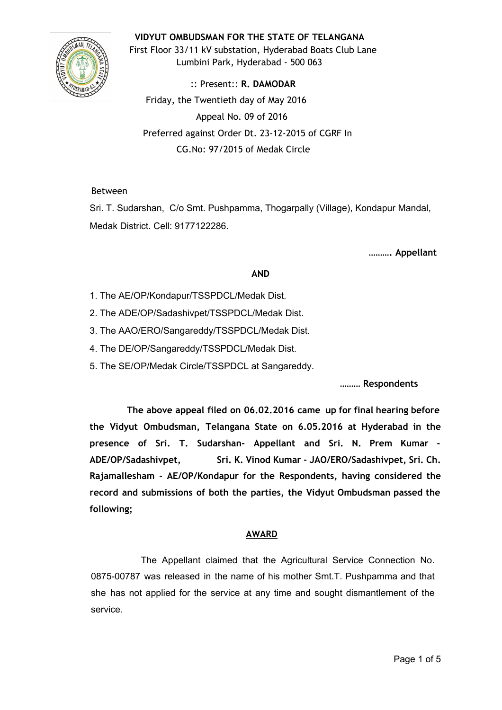## **VIDYUT OMBUDSMAN FOR THE STATE OF TELANGANA**



First Floor 33/11 kV substation, Hyderabad Boats Club Lane Lumbini Park, Hyderabad ‐ 500 063

:: Present:: **R. DAMODAR** Friday, the Twentieth day of May 2016 Appeal No. 09 of 2016 Preferred against Order Dt. 23‐12‐2015 of CGRF In CG.No: 97/2015 of Medak Circle

### Between

Sri. T. Sudarshan, C/o Smt. Pushpamma, Thogarpally (Village), Kondapur Mandal, Medak District. Cell: 9177122286.

**………. Appellant**

#### **AND**

- 1. The AE/OP/Kondapur/TSSPDCL/Medak Dist.
- 2. The ADE/OP/Sadashivpet/TSSPDCL/Medak Dist.
- 3. The AAO/ERO/Sangareddy/TSSPDCL/Medak Dist.
- 4. The DE/OP/Sangareddy/TSSPDCL/Medak Dist.
- 5. The SE/OP/Medak Circle/TSSPDCL at Sangareddy.

**……… Respondents**

**The above appeal filed on 06.02.2016 came up for final hearing before the Vidyut Ombudsman, Telangana State on 6.05.2016 at Hyderabad in the presence of Sri. T. Sudarshan‐ Appellant and Sri. N. Prem Kumar ‐ ADE/OP/Sadashivpet, Sri. K. Vinod Kumar ‐ JAO/ERO/Sadashivpet, Sri. Ch. Rajamallesham ‐ AE/OP/Kondapur for the Respondents, having considered the record and submissions of both the parties, the Vidyut Ombudsman passed the following;**

### **AWARD**

The Appellant claimed that the Agricultural Service Connection No. 0875-00787 was released in the name of his mother Smt.T. Pushpamma and that she has not applied for the service at any time and sought dismantlement of the service.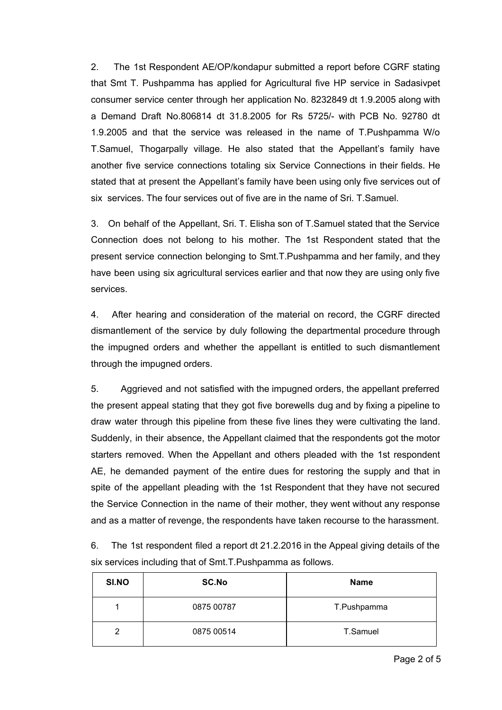2. The 1st Respondent AE/OP/kondapur submitted a report before CGRF stating that Smt T. Pushpamma has applied for Agricultural five HP service in Sadasivpet consumer service center through her application No. 8232849 dt 1.9.2005 along with a Demand Draft No.806814 dt 31.8.2005 for Rs 5725/ with PCB No. 92780 dt 1.9.2005 and that the service was released in the name of T.Pushpamma W/o T.Samuel, Thogarpally village. He also stated that the Appellant's family have another five service connections totaling six Service Connections in their fields. He stated that at present the Appellant's family have been using only five services out of six services. The four services out of five are in the name of Sri. T.Samuel.

3. On behalf of the Appellant, Sri. T. Elisha son of T.Samuel stated that the Service Connection does not belong to his mother. The 1st Respondent stated that the present service connection belonging to Smt.T.Pushpamma and her family, and they have been using six agricultural services earlier and that now they are using only five services.

4. After hearing and consideration of the material on record, the CGRF directed dismantlement of the service by duly following the departmental procedure through the impugned orders and whether the appellant is entitled to such dismantlement through the impugned orders.

5. Aggrieved and not satisfied with the impugned orders, the appellant preferred the present appeal stating that they got five borewells dug and by fixing a pipeline to draw water through this pipeline from these five lines they were cultivating the land. Suddenly, in their absence, the Appellant claimed that the respondents got the motor starters removed. When the Appellant and others pleaded with the 1st respondent AE, he demanded payment of the entire dues for restoring the supply and that in spite of the appellant pleading with the 1st Respondent that they have not secured the Service Connection in the name of their mother, they went without any response and as a matter of revenge, the respondents have taken recourse to the harassment.

6. The 1st respondent filed a report dt 21.2.2016 in the Appeal giving details of the six services including that of Smt.T.Pushpamma as follows.

| SI.NO | <b>SC.No</b> | <b>Name</b> |
|-------|--------------|-------------|
|       | 0875 00787   | T.Pushpamma |
| 2     | 0875 00514   | T.Samuel    |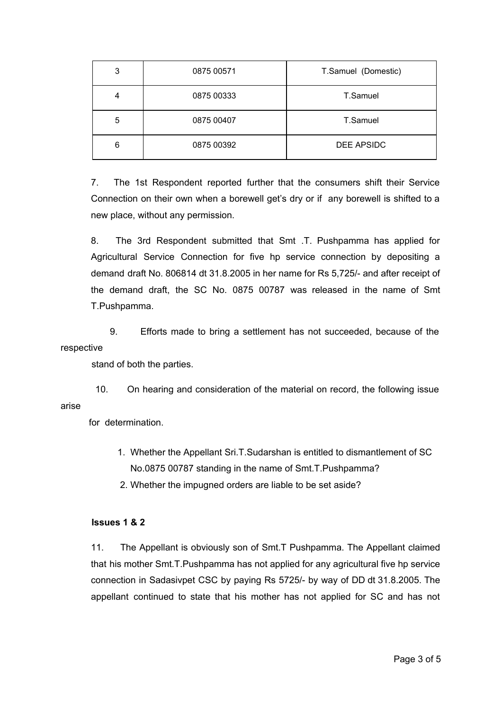| 3 | 0875 00571 | T.Samuel (Domestic) |
|---|------------|---------------------|
| 4 | 0875 00333 | T.Samuel            |
| 5 | 0875 00407 | T.Samuel            |
| 6 | 0875 00392 | DEE APSIDC          |

7. The 1st Respondent reported further that the consumers shift their Service Connection on their own when a borewell get's dry or if any borewell is shifted to a new place, without any permission.

8. The 3rd Respondent submitted that Smt .T. Pushpamma has applied for Agricultural Service Connection for five hp service connection by depositing a demand draft No. 806814 dt 31.8.2005 in her name for Rs 5,725/- and after receipt of the demand draft, the SC No. 0875 00787 was released in the name of Smt T.Pushpamma.

9. Efforts made to bring a settlement has not succeeded, because of the respective

stand of both the parties.

10. On hearing and consideration of the material on record, the following issue arise

for determination.

- 1. Whether the Appellant Sri.T.Sudarshan is entitled to dismantlement of SC No.0875 00787 standing in the name of Smt.T.Pushpamma?
- 2. Whether the impugned orders are liable to be set aside?

# **Issues 1 & 2**

11. The Appellant is obviously son of Smt.T Pushpamma. The Appellant claimed that his mother Smt.T.Pushpamma has not applied for any agricultural five hp service connection in Sadasivpet CSC by paying Rs 5725/ by way of DD dt 31.8.2005. The appellant continued to state that his mother has not applied for SC and has not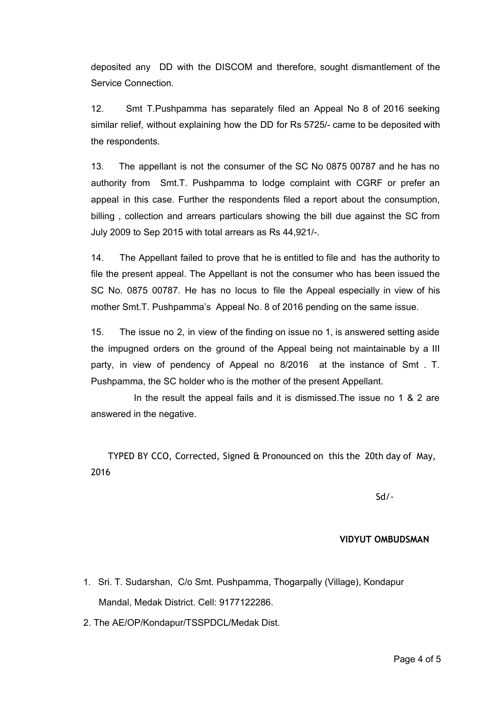deposited any DD with the DISCOM and therefore, sought dismantlement of the Service Connection.

12. Smt T.Pushpamma has separately filed an Appeal No 8 of 2016 seeking similar relief, without explaining how the DD for Rs 5725/- came to be deposited with the respondents.

13. The appellant is not the consumer of the SC No 0875 00787 and he has no authority from Smt.T. Pushpamma to lodge complaint with CGRF or prefer an appeal in this case. Further the respondents filed a report about the consumption, billing , collection and arrears particulars showing the bill due against the SC from July 2009 to Sep 2015 with total arrears as Rs 44,921/.

14. The Appellant failed to prove that he is entitled to file and has the authority to file the present appeal. The Appellant is not the consumer who has been issued the SC No. 0875 00787. He has no locus to file the Appeal especially in view of his mother Smt.T. Pushpamma's Appeal No. 8 of 2016 pending on the same issue.

15. The issue no 2, in view of the finding on issue no 1, is answered setting aside the impugned orders on the ground of the Appeal being not maintainable by a III party, in view of pendency of Appeal no 8/2016 at the instance of Smt . T. Pushpamma, the SC holder who is the mother of the present Appellant.

In the result the appeal fails and it is dismissed.The issue no 1 & 2 are answered in the negative.

TYPED BY CCO, Corrected, Signed & Pronounced on this the 20th day of May, 2016

Sd/‐

### **VIDYUT OMBUDSMAN**

- 1. Sri. T. Sudarshan, C/o Smt. Pushpamma, Thogarpally (Village), Kondapur Mandal, Medak District. Cell: 9177122286.
- 2. The AE/OP/Kondapur/TSSPDCL/Medak Dist.